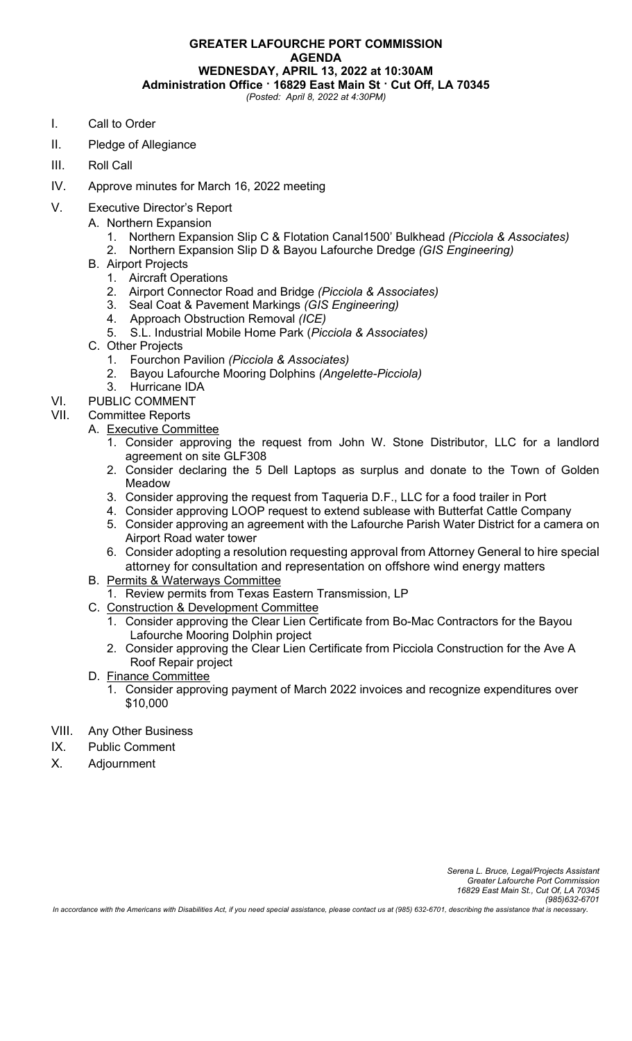### **GREATER LAFOURCHE PORT COMMISSION AGENDA WEDNESDAY, APRIL 13, 2022 at 10:30AM Administration Office · 16829 East Main St · Cut Off, LA 70345** *(Posted: April 8, 2022 at 4:30PM)*

- I. Call to Order
- II. Pledge of Allegiance
- III. Roll Call
- IV. Approve minutes for March 16, 2022 meeting
- V. Executive Director's Report
	- A. Northern Expansion
		- 1. Northern Expansion Slip C & Flotation Canal1500' Bulkhead *(Picciola & Associates)*
		- 2. Northern Expansion Slip D & Bayou Lafourche Dredge *(GIS Engineering)*
	- B. Airport Projects
		- 1. Aircraft Operations
		- 2. Airport Connector Road and Bridge *(Picciola & Associates)*
		- 3. Seal Coat & Pavement Markings *(GIS Engineering)*
		- 4. Approach Obstruction Removal *(ICE)*
		- 5. S.L. Industrial Mobile Home Park (*Picciola & Associates)*
	- C. Other Projects
		- 1. Fourchon Pavilion *(Picciola & Associates)*
		- 2. Bayou Lafourche Mooring Dolphins *(Angelette-Picciola)*
		- 3. Hurricane IDA
- VI. PUBLIC COMMENT

# VII. Committee Reports

- A. Executive Committee
	- 1. Consider approving the request from John W. Stone Distributor, LLC for a landlord agreement on site GLF308
	- 2. Consider declaring the 5 Dell Laptops as surplus and donate to the Town of Golden Meadow
	- 3. Consider approving the request from Taqueria D.F., LLC for a food trailer in Port
	- 4. Consider approving LOOP request to extend sublease with Butterfat Cattle Company
	- 5. Consider approving an agreement with the Lafourche Parish Water District for a camera on Airport Road water tower
	- 6. Consider adopting a resolution requesting approval from Attorney General to hire special attorney for consultation and representation on offshore wind energy matters
- B. Permits & Waterways Committee
	- 1. Review permits from Texas Eastern Transmission, LP
- C. Construction & Development Committee
	- 1. Consider approving the Clear Lien Certificate from Bo-Mac Contractors for the Bayou Lafourche Mooring Dolphin project
	- 2. Consider approving the Clear Lien Certificate from Picciola Construction for the Ave A Roof Repair project
- D. Finance Committee
	- 1. Consider approving payment of March 2022 invoices and recognize expenditures over \$10,000
- VIII. Any Other Business
- IX. Public Comment
- X. Adjournment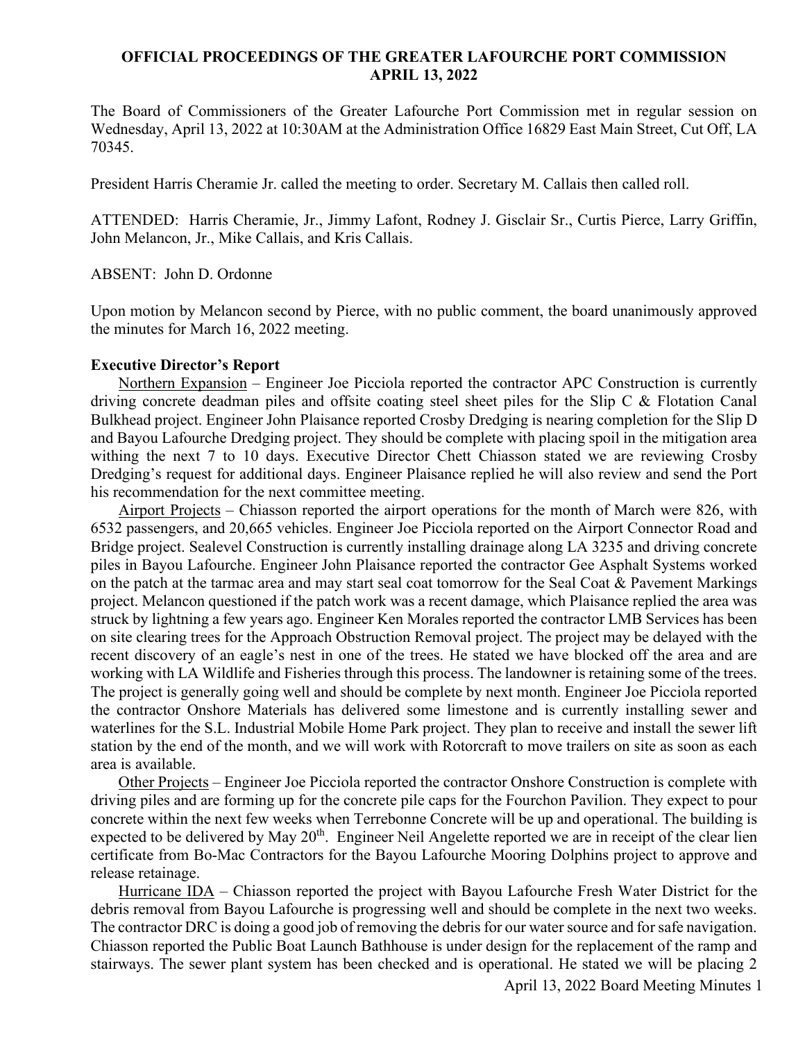## **OFFICIAL PROCEEDINGS OF THE GREATER LAFOURCHE PORT COMMISSION APRIL 13, 2022**

The Board of Commissioners of the Greater Lafourche Port Commission met in regular session on Wednesday, April 13, 2022 at 10:30AM at the Administration Office 16829 East Main Street, Cut Off, LA 70345.

President Harris Cheramie Jr. called the meeting to order. Secretary M. Callais then called roll.

ATTENDED: Harris Cheramie, Jr., Jimmy Lafont, Rodney J. Gisclair Sr., Curtis Pierce, Larry Griffin, John Melancon, Jr., Mike Callais, and Kris Callais.

ABSENT: John D. Ordonne

Upon motion by Melancon second by Pierce, with no public comment, the board unanimously approved the minutes for March 16, 2022 meeting.

#### **Executive Director's Report**

Northern Expansion – Engineer Joe Picciola reported the contractor APC Construction is currently driving concrete deadman piles and offsite coating steel sheet piles for the Slip C & Flotation Canal Bulkhead project. Engineer John Plaisance reported Crosby Dredging is nearing completion for the Slip D and Bayou Lafourche Dredging project. They should be complete with placing spoil in the mitigation area withing the next 7 to 10 days. Executive Director Chett Chiasson stated we are reviewing Crosby Dredging's request for additional days. Engineer Plaisance replied he will also review and send the Port his recommendation for the next committee meeting.

Airport Projects – Chiasson reported the airport operations for the month of March were 826, with 6532 passengers, and 20,665 vehicles. Engineer Joe Picciola reported on the Airport Connector Road and Bridge project. Sealevel Construction is currently installing drainage along LA 3235 and driving concrete piles in Bayou Lafourche. Engineer John Plaisance reported the contractor Gee Asphalt Systems worked on the patch at the tarmac area and may start seal coat tomorrow for the Seal Coat & Pavement Markings project. Melancon questioned if the patch work was a recent damage, which Plaisance replied the area was struck by lightning a few years ago. Engineer Ken Morales reported the contractor LMB Services has been on site clearing trees for the Approach Obstruction Removal project. The project may be delayed with the recent discovery of an eagle's nest in one of the trees. He stated we have blocked off the area and are working with LA Wildlife and Fisheries through this process. The landowner is retaining some of the trees. The project is generally going well and should be complete by next month. Engineer Joe Picciola reported the contractor Onshore Materials has delivered some limestone and is currently installing sewer and waterlines for the S.L. Industrial Mobile Home Park project. They plan to receive and install the sewer lift station by the end of the month, and we will work with Rotorcraft to move trailers on site as soon as each area is available.

Other Projects – Engineer Joe Picciola reported the contractor Onshore Construction is complete with driving piles and are forming up for the concrete pile caps for the Fourchon Pavilion. They expect to pour concrete within the next few weeks when Terrebonne Concrete will be up and operational. The building is expected to be delivered by May 20<sup>th</sup>. Engineer Neil Angelette reported we are in receipt of the clear lien certificate from Bo-Mac Contractors for the Bayou Lafourche Mooring Dolphins project to approve and release retainage.

Hurricane IDA – Chiasson reported the project with Bayou Lafourche Fresh Water District for the debris removal from Bayou Lafourche is progressing well and should be complete in the next two weeks. The contractor DRC is doing a good job of removing the debris for our water source and for safe navigation. Chiasson reported the Public Boat Launch Bathhouse is under design for the replacement of the ramp and stairways. The sewer plant system has been checked and is operational. He stated we will be placing 2